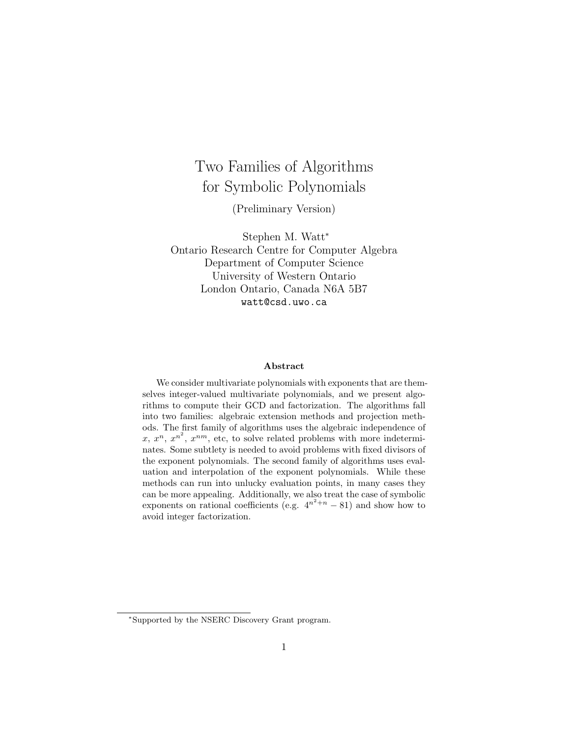# Two Families of Algorithms for Symbolic Polynomials

(Preliminary Version)

Stephen M. Watt<sup>∗</sup> Ontario Research Centre for Computer Algebra Department of Computer Science University of Western Ontario London Ontario, Canada N6A 5B7 watt@csd.uwo.ca

#### Abstract

We consider multivariate polynomials with exponents that are themselves integer-valued multivariate polynomials, and we present algorithms to compute their GCD and factorization. The algorithms fall into two families: algebraic extension methods and projection methods. The first family of algorithms uses the algebraic independence of x,  $x^n$ ,  $x^{n^2}$ ,  $x^{nm}$ , etc, to solve related problems with more indeterminates. Some subtlety is needed to avoid problems with fixed divisors of the exponent polynomials. The second family of algorithms uses evaluation and interpolation of the exponent polynomials. While these methods can run into unlucky evaluation points, in many cases they can be more appealing. Additionally, we also treat the case of symbolic exponents on rational coefficients (e.g.  $4^{n^2+n} - 81$ ) and show how to avoid integer factorization.

<sup>∗</sup>Supported by the NSERC Discovery Grant program.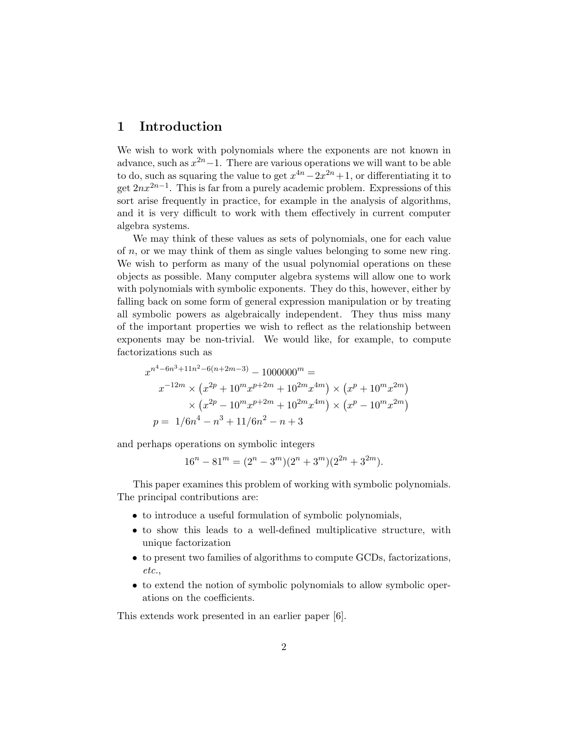# 1 Introduction

We wish to work with polynomials where the exponents are not known in advance, such as  $x^{2n}-1$ . There are various operations we will want to be able to do, such as squaring the value to get  $x^{4n} - 2x^{2n} + 1$ , or differentiating it to get  $2nx^{2n-1}$ . This is far from a purely academic problem. Expressions of this sort arise frequently in practice, for example in the analysis of algorithms, and it is very difficult to work with them effectively in current computer algebra systems.

We may think of these values as sets of polynomials, one for each value of  $n$ , or we may think of them as single values belonging to some new ring. We wish to perform as many of the usual polynomial operations on these objects as possible. Many computer algebra systems will allow one to work with polynomials with symbolic exponents. They do this, however, either by falling back on some form of general expression manipulation or by treating all symbolic powers as algebraically independent. They thus miss many of the important properties we wish to reflect as the relationship between exponents may be non-trivial. We would like, for example, to compute factorizations such as

$$
x^{n^4 - 6n^3 + 11n^2 - 6(n + 2m - 3)} - 1000000^m =
$$
  
\n
$$
x^{-12m} \times (x^{2p} + 10^m x^{p+2m} + 10^{2m} x^{4m}) \times (x^p + 10^m x^{2m})
$$
  
\n
$$
\times (x^{2p} - 10^m x^{p+2m} + 10^{2m} x^{4m}) \times (x^p - 10^m x^{2m})
$$
  
\n
$$
p = 1/6n^4 - n^3 + 11/6n^2 - n + 3
$$

and perhaps operations on symbolic integers

 $16^{n} - 81^{m} = (2^{n} - 3^{m})(2^{n} + 3^{m})(2^{2n} + 3^{2m}).$ 

This paper examines this problem of working with symbolic polynomials. The principal contributions are:

- to introduce a useful formulation of symbolic polynomials,
- to show this leads to a well-defined multiplicative structure, with unique factorization
- to present two families of algorithms to compute GCDs, factorizations, etc.,
- to extend the notion of symbolic polynomials to allow symbolic operations on the coefficients.

This extends work presented in an earlier paper [6].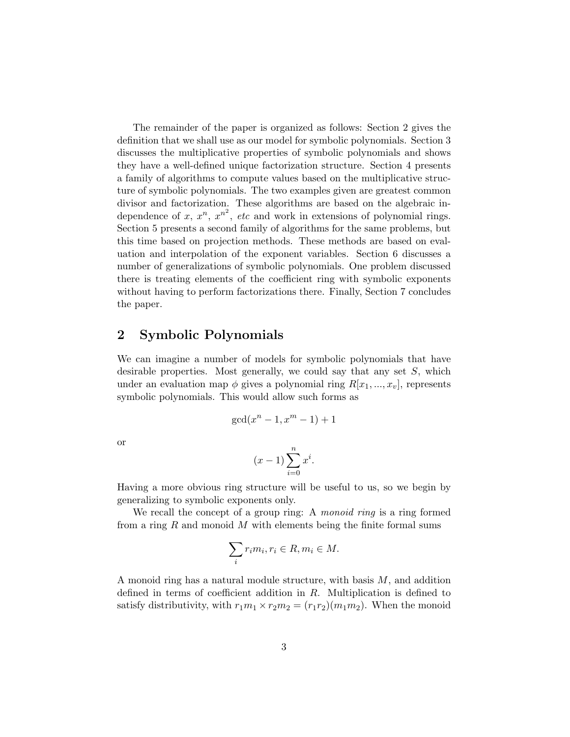The remainder of the paper is organized as follows: Section 2 gives the definition that we shall use as our model for symbolic polynomials. Section 3 discusses the multiplicative properties of symbolic polynomials and shows they have a well-defined unique factorization structure. Section 4 presents a family of algorithms to compute values based on the multiplicative structure of symbolic polynomials. The two examples given are greatest common divisor and factorization. These algorithms are based on the algebraic independence of x,  $x^n$ ,  $x^{n^2}$ , etc and work in extensions of polynomial rings. Section 5 presents a second family of algorithms for the same problems, but this time based on projection methods. These methods are based on evaluation and interpolation of the exponent variables. Section 6 discusses a number of generalizations of symbolic polynomials. One problem discussed there is treating elements of the coefficient ring with symbolic exponents without having to perform factorizations there. Finally, Section 7 concludes the paper.

## 2 Symbolic Polynomials

We can imagine a number of models for symbolic polynomials that have desirable properties. Most generally, we could say that any set  $S$ , which under an evaluation map  $\phi$  gives a polynomial ring  $R[x_1, ..., x_v]$ , represents symbolic polynomials. This would allow such forms as

$$
\gcd(x^n - 1, x^m - 1) + 1
$$

or

$$
(x-1)\sum_{i=0}^{n} x^i.
$$

Having a more obvious ring structure will be useful to us, so we begin by generalizing to symbolic exponents only.

We recall the concept of a group ring: A *monoid ring* is a ring formed from a ring R and monoid M with elements being the finite formal sums

$$
\sum_{i} r_i m_i, r_i \in R, m_i \in M.
$$

A monoid ring has a natural module structure, with basis  $M$ , and addition defined in terms of coefficient addition in R. Multiplication is defined to satisfy distributivity, with  $r_1m_1 \times r_2m_2 = (r_1r_2)(m_1m_2)$ . When the monoid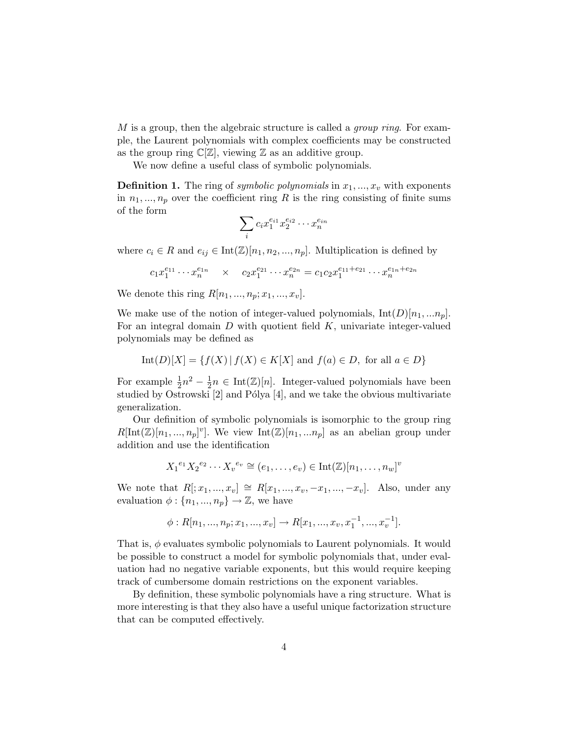$M$  is a group, then the algebraic structure is called a *group ring*. For example, the Laurent polynomials with complex coefficients may be constructed as the group ring  $\mathbb{C}[\mathbb{Z}]$ , viewing  $\mathbb Z$  as an additive group.

We now define a useful class of symbolic polynomials.

**Definition 1.** The ring of symbolic polynomials in  $x_1, \ldots, x_v$  with exponents in  $n_1, ..., n_p$  over the coefficient ring R is the ring consisting of finite sums of the form

$$
\sum_i c_i x_1^{e_{i1}} x_2^{e_{i2}} \cdots x_n^{e_{in}}
$$

where  $c_i \in R$  and  $e_{ij} \in \text{Int}(\mathbb{Z})[n_1, n_2, ..., n_p]$ . Multiplication is defined by

$$
c_1 x_1^{e_{11}} \cdots x_n^{e_{1n}} \times c_2 x_1^{e_{21}} \cdots x_n^{e_{2n}} = c_1 c_2 x_1^{e_{11} + e_{21}} \cdots x_n^{e_{1n} + e_{2n}}
$$

We denote this ring  $R[n_1, ..., n_p; x_1, ..., x_v].$ 

We make use of the notion of integer-valued polynomials,  $Int(D)[n_1, ... n_p]$ . For an integral domain  $D$  with quotient field  $K$ , univariate integer-valued polynomials may be defined as

$$
Int(D)[X] = \{ f(X) | f(X) \in K[X] \text{ and } f(a) \in D, \text{ for all } a \in D \}
$$

For example  $\frac{1}{2}n^2 - \frac{1}{2}$  $\frac{1}{2}n \in \text{Int}(\mathbb{Z})[n]$ . Integer-valued polynomials have been studied by Ostrowski  $[2]$  and Pólya  $[4]$ , and we take the obvious multivariate generalization.

Our definition of symbolic polynomials is isomorphic to the group ring  $R[\text{Int}(\mathbb{Z})[n_1, ..., n_p]^v]$ . We view  $\text{Int}(\mathbb{Z})[n_1, ..., n_p]$  as an abelian group under addition and use the identification

$$
{X_1}^{e_1} X_2^{e_2} \cdots X_v^{e_v} \cong (e_1, \ldots, e_v) \in \text{Int}(\mathbb{Z})[n_1, \ldots, n_w]^v
$$

We note that  $R[:, x_1, ..., x_v] \cong R[x_1, ..., x_v, -x_1, ..., -x_v].$  Also, under any evaluation  $\phi: \{n_1, ..., n_p\} \to \mathbb{Z}$ , we have

$$
\phi: R[n_1, ..., n_p; x_1, ..., x_v] \to R[x_1, ..., x_v, x_1^{-1}, ..., x_v^{-1}].
$$

That is,  $\phi$  evaluates symbolic polynomials to Laurent polynomials. It would be possible to construct a model for symbolic polynomials that, under evaluation had no negative variable exponents, but this would require keeping track of cumbersome domain restrictions on the exponent variables.

By definition, these symbolic polynomials have a ring structure. What is more interesting is that they also have a useful unique factorization structure that can be computed effectively.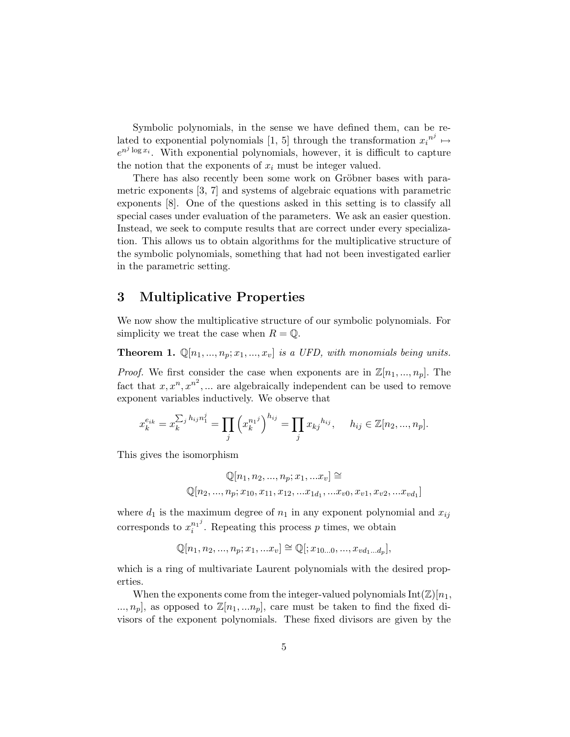Symbolic polynomials, in the sense we have defined them, can be related to exponential polynomials [1, 5] through the transformation  $x_i^{n^j} \mapsto$  $e^{n^j \log x_i}$ . With exponential polynomials, however, it is difficult to capture the notion that the exponents of  $x_i$  must be integer valued.

There has also recently been some work on Gröbner bases with parametric exponents [3, 7] and systems of algebraic equations with parametric exponents [8]. One of the questions asked in this setting is to classify all special cases under evaluation of the parameters. We ask an easier question. Instead, we seek to compute results that are correct under every specialization. This allows us to obtain algorithms for the multiplicative structure of the symbolic polynomials, something that had not been investigated earlier in the parametric setting.

### 3 Multiplicative Properties

We now show the multiplicative structure of our symbolic polynomials. For simplicity we treat the case when  $R = \mathbb{Q}$ .

**Theorem 1.**  $\mathbb{Q}[n_1, ..., n_p; x_1, ..., x_v]$  is a UFD, with monomials being units.

*Proof.* We first consider the case when exponents are in  $\mathbb{Z}[n_1, ..., n_p]$ . The fact that  $x, x^n, x^{n^2}, \dots$  are algebraically independent can be used to remove exponent variables inductively. We observe that

$$
x_k^{e_{ik}} = x_k^{\sum_j h_{ij} n_1^j} = \prod_j \left( x_k^{n_1^j} \right)^{h_{ij}} = \prod_j x_{kj}^{h_{ij}}, \quad h_{ij} \in \mathbb{Z}[n_2, ..., n_p].
$$

This gives the isomorphism

$$
\mathbb{Q}[n_1, n_2, ..., n_p; x_1, ...x_v] \cong
$$
  

$$
\mathbb{Q}[n_2, ..., n_p; x_{10}, x_{11}, x_{12}, ...x_{1d_1}, ...x_{v0}, x_{v1}, x_{v2}, ...x_{vd_1}]
$$

where  $d_1$  is the maximum degree of  $n_1$  in any exponent polynomial and  $x_{ij}$ corresponds to  $x_i^{n_1}$  $i^{n_1}$ . Repeating this process p times, we obtain

$$
\mathbb{Q}[n_1, n_2, ..., n_p; x_1, ... x_v] \cong \mathbb{Q}[:, x_{10...0}, ..., x_{vd_1...d_p}],
$$

which is a ring of multivariate Laurent polynomials with the desired properties.

When the exponents come from the integer-valued polynomials  $Int(\mathbb{Z})[n_1,$  $..., n_p$ , as opposed to  $\mathbb{Z}[n_1,...n_p]$ , care must be taken to find the fixed divisors of the exponent polynomials. These fixed divisors are given by the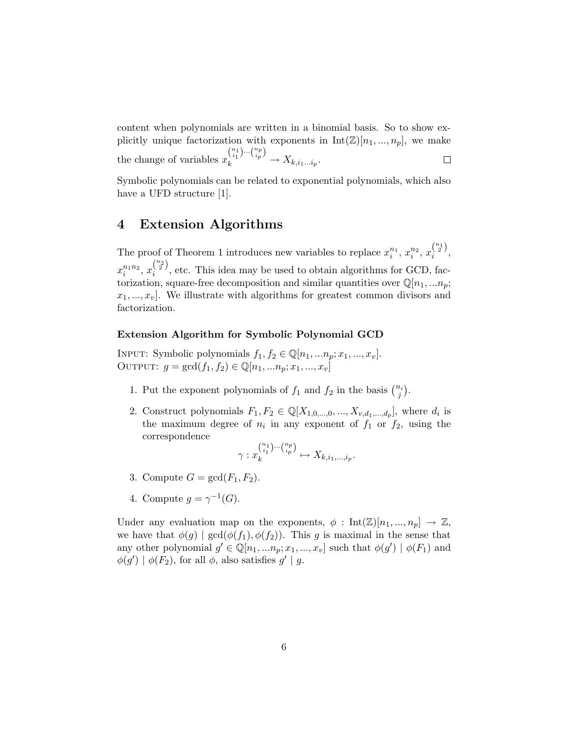content when polynomials are written in a binomial basis. So to show explicitly unique factorization with exponents in  $Int(\mathbb{Z})[n_1, ..., n_p]$ , we make  $\binom{n_1}{i_1} \cdots \binom{n_p}{i_p}$ the change of variables  $x$  $\chi_k^{i_1 j} \longrightarrow X_{k,i_1...i_p}.$  $\Box$ 

Symbolic polynomials can be related to exponential polynomials, which also have a UFD structure [1].

# 4 Extension Algorithms

The proof of Theorem 1 introduces new variables to replace  $x_i^{n_1}$ ,  $x_i^{n_2}$ ,  $x_i^{(\frac{n_1}{2})}$  $\frac{1}{i}$ ,  $x_i^{n_1n_2}, x_i^{(n_2)}$  $\frac{1}{i}$ , etc. This idea may be used to obtain algorithms for GCD, factorization, square-free decomposition and similar quantities over  $\mathbb{Q}[n_1, ... n_p;$  $x_1, \ldots, x_v$ . We illustrate with algorithms for greatest common divisors and factorization.

### Extension Algorithm for Symbolic Polynomial GCD

INPUT: Symbolic polynomials  $f_1, f_2 \in \mathbb{Q}[n_1, ..., n_p; x_1, ..., x_v]$ . OUTPUT:  $g = \gcd(f_1, f_2) \in \mathbb{Q}[n_1, ..., n_p; x_1, ..., x_v]$ 

- 1. Put the exponent polynomials of  $f_1$  and  $f_2$  in the basis  $\binom{n_i}{j}$ .
- 2. Construct polynomials  $F_1, F_2 \in \mathbb{Q}[X_{1,0,\ldots,0},...,X_{v,d_1,\ldots,d_p}],$  where  $d_i$  is the maximum degree of  $n_i$  in any exponent of  $f_1$  or  $f_2$ , using the correspondence

$$
\gamma: x_k^{n_1\choose i_1}\cdots{n_p\choose i_p} \mapsto X_{k,i_1,\ldots,i_p}.
$$

- 3. Compute  $G = \gcd(F_1, F_2)$ .
- 4. Compute  $g = \gamma^{-1}(G)$ .

Under any evaluation map on the exponents,  $\phi : \text{Int}(\mathbb{Z})[n_1, ..., n_n] \rightarrow \mathbb{Z}$ , we have that  $\phi(g) | \gcd(\phi(f_1), \phi(f_2))$ . This g is maximal in the sense that any other polynomial  $g' \in \mathbb{Q}[n_1, ..., n_p; x_1, ..., x_v]$  such that  $\phi(g') | \phi(F_1)$  and  $\phi(g') | \phi(F_2)$ , for all  $\phi$ , also satisfies  $g' | g$ .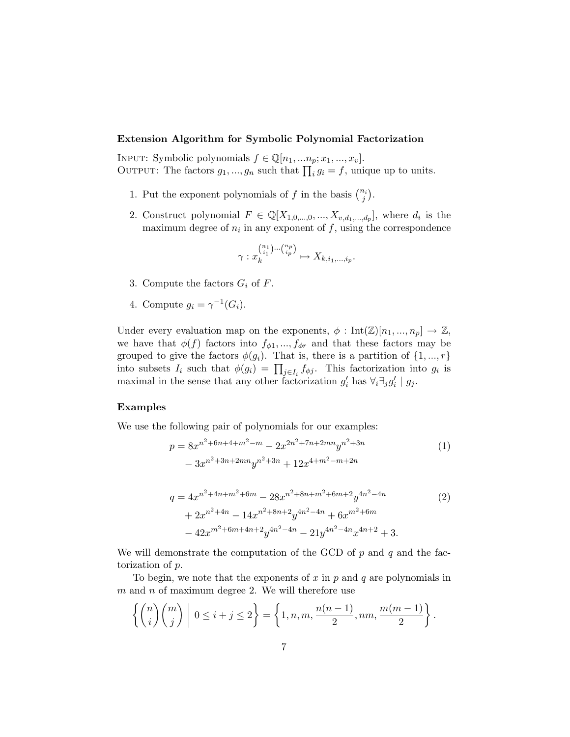### Extension Algorithm for Symbolic Polynomial Factorization

INPUT: Symbolic polynomials  $f \in \mathbb{Q}[n_1, ..., n_p; x_1, ..., x_v]$ . OUTPUT: The factors  $g_1, ..., g_n$  such that  $\prod_i g_i = f$ , unique up to units.

- 1. Put the exponent polynomials of f in the basis  $\binom{n_i}{j}$ .
- 2. Construct polynomial  $F \in \mathbb{Q}[X_{1,0,\dots,0},...,X_{v,d_1,\dots,d_p}],$  where  $d_i$  is the maximum degree of  $n_i$  in any exponent of  $f$ , using the correspondence

$$
\gamma: x_k^{n_1)\cdots n_p \choose i_1} \mapsto X_{k,i_1,\ldots,i_p}.
$$

- 3. Compute the factors  $G_i$  of  $F$ .
- 4. Compute  $g_i = \gamma^{-1}(G_i)$ .

Under every evaluation map on the exponents,  $\phi: \text{Int}(\mathbb{Z})[n_1, ..., n_p] \to \mathbb{Z}$ , we have that  $\phi(f)$  factors into  $f_{\phi 1},..., f_{\phi r}$  and that these factors may be grouped to give the factors  $\phi(g_i)$ . That is, there is a partition of  $\{1, ..., r\}$ into subsets  $I_i$  such that  $\phi(g_i) = \prod_{j \in I_i} f_{\phi j}$ . This factorization into  $g_i$  is maximal in the sense that any other factorization  $g'_i$  has  $\forall_i \exists_j g'_i \mid g_j$ .

#### Examples

We use the following pair of polynomials for our examples:

$$
p = 8x^{n^{2} + 6n + 4 + m^{2} - m} - 2x^{2n^{2} + 7n + 2mn}y^{n^{2} + 3n}
$$
  
- 3x<sup>n^{2} + 3n + 2mn}y^{n^{2} + 3n} + 12x^{4 + m^{2} - m + 2n} (1)</sup>

$$
q = 4x^{n^{2} + 4n + m^{2} + 6m} - 28x^{n^{2} + 8n + m^{2} + 6m + 2}y^{4n^{2} - 4n}
$$
\n
$$
+ 2x^{n^{2} + 4n} - 14x^{n^{2} + 8n + 2}y^{4n^{2} - 4n} + 6x^{m^{2} + 6m}
$$
\n
$$
- 42x^{m^{2} + 6m + 4n + 2}y^{4n^{2} - 4n} - 21y^{4n^{2} - 4n}x^{4n + 2} + 3.
$$
\n(2)

We will demonstrate the computation of the GCD of  $p$  and  $q$  and the factorization of p.

To begin, we note that the exponents of  $x$  in  $p$  and  $q$  are polynomials in  $m$  and  $n$  of maximum degree 2. We will therefore use

$$
\left\{ \binom{n}{i} \binom{m}{j} \; \middle| \; 0 \leq i+j \leq 2 \right\} = \left\{ 1, n, m, \frac{n(n-1)}{2}, nm, \frac{m(m-1)}{2} \right\}.
$$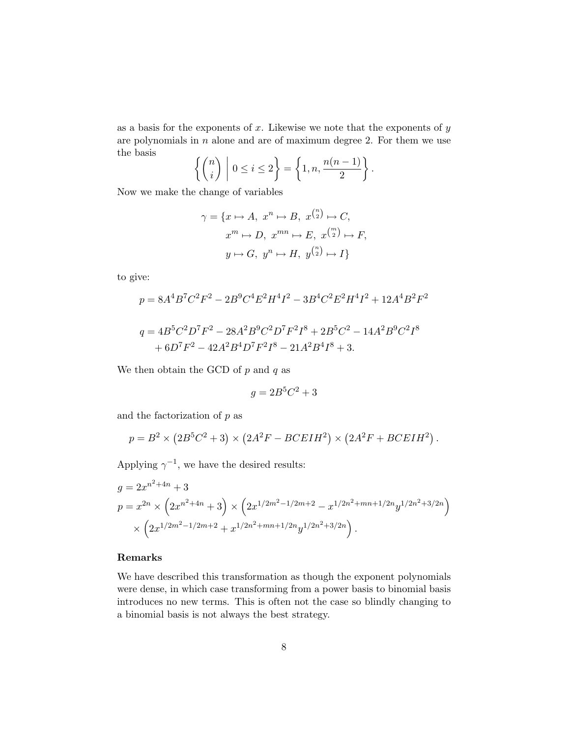as a basis for the exponents of  $x$ . Likewise we note that the exponents of  $y$ are polynomials in  $n$  alone and are of maximum degree 2. For them we use the basis

$$
\left\{ \binom{n}{i} \mid 0 \leq i \leq 2 \right\} = \left\{ 1, n, \frac{n(n-1)}{2} \right\}.
$$

Now we make the change of variables

$$
\gamma = \{x \mapsto A, \ x^n \mapsto B, \ x^{\binom{n}{2}} \mapsto C,
$$

$$
x^m \mapsto D, \ x^{mn} \mapsto E, \ x^{\binom{m}{2}} \mapsto F,
$$

$$
y \mapsto G, \ y^n \mapsto H, \ y^{\binom{n}{2}} \mapsto I\}
$$

to give:

$$
p = 8A^4B^7C^2F^2 - 2B^9C^4E^2H^4I^2 - 3B^4C^2E^2H^4I^2 + 12A^4B^2F^2
$$
  

$$
q = 4B^5C^2D^7F^2 - 28A^2B^9C^2D^7F^2I^8 + 2B^5C^2 - 14A^2B^9C^2I^8
$$

$$
+ 6D7F2 - 42A2B4D7F2I8 - 21A2B4I8 + 3.
$$

We then obtain the GCD of  $p$  and  $q$  as

$$
g = 2B^5C^2 + 3
$$

and the factorization of  $p$  as

$$
p = B2 \times (2B5C2 + 3) \times (2A2F - BCEIH2) \times (2A2F + BCEIH2).
$$

Applying  $\gamma^{-1}$ , we have the desired results:

$$
g = 2x^{n^2+4n} + 3
$$
  
\n
$$
p = x^{2n} \times \left(2x^{n^2+4n} + 3\right) \times \left(2x^{1/2m^2-1/2m+2} - x^{1/2n^2+mn+1/2n}y^{1/2n^2+3/2n}\right)
$$
  
\n
$$
\times \left(2x^{1/2m^2-1/2m+2} + x^{1/2n^2+mn+1/2n}y^{1/2n^2+3/2n}\right).
$$

### Remarks

We have described this transformation as though the exponent polynomials were dense, in which case transforming from a power basis to binomial basis introduces no new terms. This is often not the case so blindly changing to a binomial basis is not always the best strategy.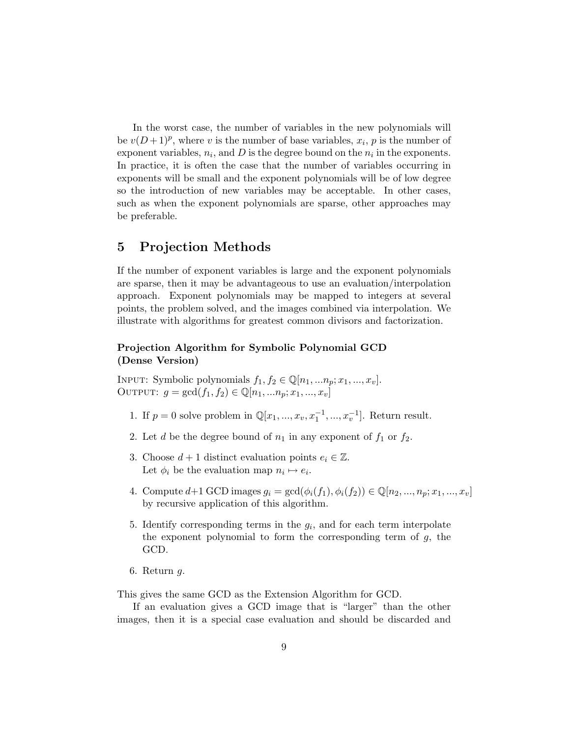In the worst case, the number of variables in the new polynomials will be  $v(D+1)^p$ , where v is the number of base variables,  $x_i$ , p is the number of exponent variables,  $n_i$ , and D is the degree bound on the  $n_i$  in the exponents. In practice, it is often the case that the number of variables occurring in exponents will be small and the exponent polynomials will be of low degree so the introduction of new variables may be acceptable. In other cases, such as when the exponent polynomials are sparse, other approaches may be preferable.

## 5 Projection Methods

If the number of exponent variables is large and the exponent polynomials are sparse, then it may be advantageous to use an evaluation/interpolation approach. Exponent polynomials may be mapped to integers at several points, the problem solved, and the images combined via interpolation. We illustrate with algorithms for greatest common divisors and factorization.

### Projection Algorithm for Symbolic Polynomial GCD (Dense Version)

INPUT: Symbolic polynomials  $f_1, f_2 \in \mathbb{Q}[n_1, ..., n_p; x_1, ..., x_v]$ . OUTPUT:  $g = \gcd(f_1, f_2) \in \mathbb{Q}[n_1, ..., n_p; x_1, ..., x_v]$ 

- 1. If  $p = 0$  solve problem in  $\mathbb{Q}[x_1, ..., x_v, x_1^{-1}, ..., x_v^{-1}]$ . Return result.
- 2. Let d be the degree bound of  $n_1$  in any exponent of  $f_1$  or  $f_2$ .
- 3. Choose  $d+1$  distinct evaluation points  $e_i \in \mathbb{Z}$ . Let  $\phi_i$  be the evaluation map  $n_i \mapsto e_i$ .
- 4. Compute  $d+1$  GCD images  $g_i = \gcd(\phi_i(f_1), \phi_i(f_2)) \in \mathbb{Q}[n_2, ..., n_p; x_1, ..., x_v]$ by recursive application of this algorithm.
- 5. Identify corresponding terms in the  $g_i$ , and for each term interpolate the exponent polynomial to form the corresponding term of  $g$ , the GCD.
- 6. Return g.

This gives the same GCD as the Extension Algorithm for GCD.

If an evaluation gives a GCD image that is "larger" than the other images, then it is a special case evaluation and should be discarded and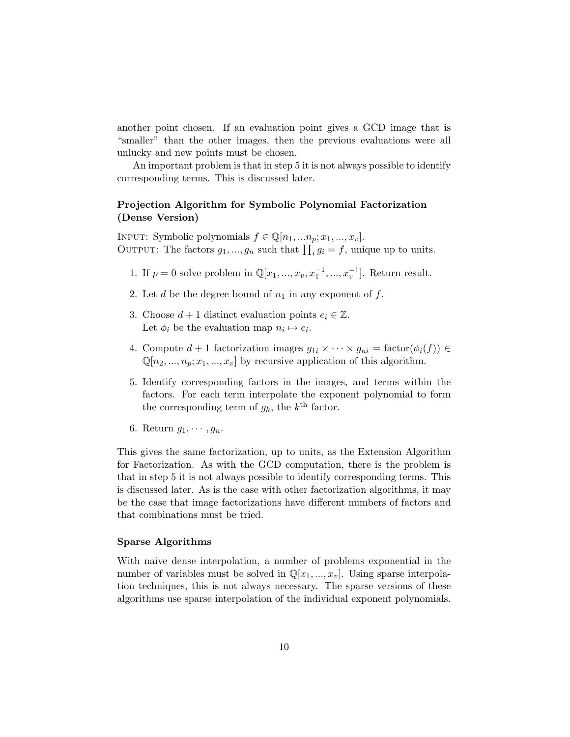another point chosen. If an evaluation point gives a GCD image that is "smaller" than the other images, then the previous evaluations were all unlucky and new points must be chosen.

An important problem is that in step 5 it is not always possible to identify corresponding terms. This is discussed later.

### Projection Algorithm for Symbolic Polynomial Factorization (Dense Version)

INPUT: Symbolic polynomials  $f \in \mathbb{Q}[n_1, ..., n_p; x_1, ..., x_v]$ . OUTPUT: The factors  $g_1, ..., g_n$  such that  $\prod_i g_i = f$ , unique up to units.

- 1. If  $p = 0$  solve problem in  $\mathbb{Q}[x_1, ..., x_v, x_1^{-1}, ..., x_v^{-1}]$ . Return result.
- 2. Let d be the degree bound of  $n_1$  in any exponent of f.
- 3. Choose  $d+1$  distinct evaluation points  $e_i \in \mathbb{Z}$ . Let  $\phi_i$  be the evaluation map  $n_i \mapsto e_i$ .
- 4. Compute  $d+1$  factorization images  $g_{1i} \times \cdots \times g_{ni} = \text{factor}(\phi_i(f)) \in$  $\mathbb{Q}[n_2, ..., n_p; x_1, ..., x_v]$  by recursive application of this algorithm.
- 5. Identify corresponding factors in the images, and terms within the factors. For each term interpolate the exponent polynomial to form the corresponding term of  $g_k$ , the  $k^{\text{th}}$  factor.
- 6. Return  $g_1, \cdots, g_n$ .

This gives the same factorization, up to units, as the Extension Algorithm for Factorization. As with the GCD computation, there is the problem is that in step 5 it is not always possible to identify corresponding terms. This is discussed later. As is the case with other factorization algorithms, it may be the case that image factorizations have different numbers of factors and that combinations must be tried.

#### Sparse Algorithms

With naive dense interpolation, a number of problems exponential in the number of variables must be solved in  $\mathbb{Q}[x_1, ..., x_v]$ . Using sparse interpolation techniques, this is not always necessary. The sparse versions of these algorithms use sparse interpolation of the individual exponent polynomials.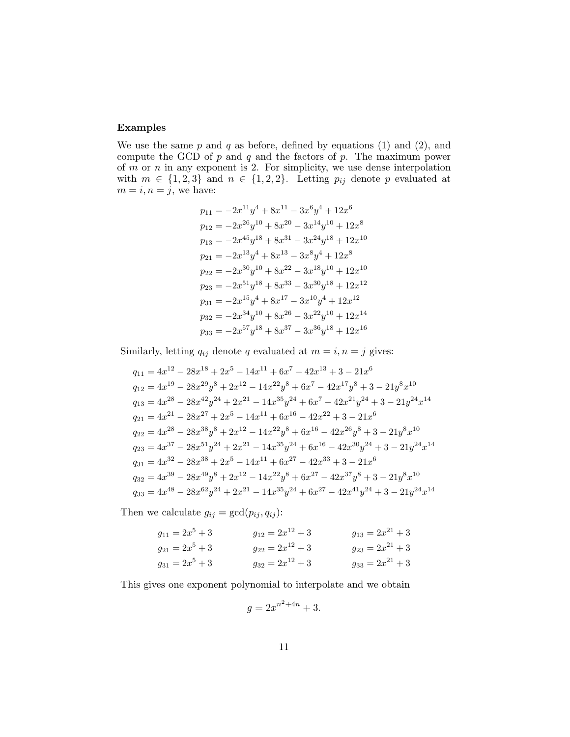### Examples

We use the same  $p$  and  $q$  as before, defined by equations (1) and (2), and compute the GCD of  $p$  and  $q$  and the factors of  $p$ . The maximum power of  $m$  or  $n$  in any exponent is 2. For simplicity, we use dense interpolation with  $m \in \{1, 2, 3\}$  and  $n \in \{1, 2, 2\}$ . Letting  $p_{ij}$  denote p evaluated at  $m = i, n = j$ , we have:

$$
p_{11} = -2x^{11}y^4 + 8x^{11} - 3x^6y^4 + 12x^6
$$
  
\n
$$
p_{12} = -2x^{26}y^{10} + 8x^{20} - 3x^{14}y^{10} + 12x^8
$$
  
\n
$$
p_{13} = -2x^{45}y^{18} + 8x^{31} - 3x^{24}y^{18} + 12x^{10}
$$
  
\n
$$
p_{21} = -2x^{13}y^4 + 8x^{13} - 3x^8y^4 + 12x^8
$$
  
\n
$$
p_{22} = -2x^{30}y^{10} + 8x^{22} - 3x^{18}y^{10} + 12x^{10}
$$
  
\n
$$
p_{23} = -2x^{51}y^{18} + 8x^{33} - 3x^{30}y^{18} + 12x^{12}
$$
  
\n
$$
p_{31} = -2x^{15}y^4 + 8x^{17} - 3x^{10}y^4 + 12x^{12}
$$
  
\n
$$
p_{32} = -2x^{34}y^{10} + 8x^{26} - 3x^{22}y^{10} + 12x^{14}
$$
  
\n
$$
p_{33} = -2x^{57}y^{18} + 8x^{37} - 3x^{36}y^{18} + 12x^{16}
$$

Similarly, letting  $q_{ij}$  denote q evaluated at  $m = i, n = j$  gives:

$$
q_{11} = 4x^{12} - 28x^{18} + 2x^5 - 14x^{11} + 6x^7 - 42x^{13} + 3 - 21x^6
$$
  
\n
$$
q_{12} = 4x^{19} - 28x^{29}y^8 + 2x^{12} - 14x^{22}y^8 + 6x^7 - 42x^{17}y^8 + 3 - 21y^8x^{10}
$$
  
\n
$$
q_{13} = 4x^{28} - 28x^{42}y^{24} + 2x^{21} - 14x^{35}y^{24} + 6x^7 - 42x^{21}y^{24} + 3 - 21y^{24}x^{14}
$$
  
\n
$$
q_{21} = 4x^{21} - 28x^{27} + 2x^5 - 14x^{11} + 6x^{16} - 42x^{22} + 3 - 21x^6
$$
  
\n
$$
q_{22} = 4x^{28} - 28x^{38}y^8 + 2x^{12} - 14x^{22}y^8 + 6x^{16} - 42x^{26}y^8 + 3 - 21y^8x^{10}
$$
  
\n
$$
q_{23} = 4x^{37} - 28x^{51}y^{24} + 2x^{21} - 14x^{35}y^{24} + 6x^{16} - 42x^{30}y^{24} + 3 - 21y^{24}x^{14}
$$
  
\n
$$
q_{31} = 4x^{32} - 28x^{38} + 2x^5 - 14x^{11} + 6x^{27} - 42x^{33} + 3 - 21x^6
$$
  
\n
$$
q_{32} = 4x^{39} - 28x^{49}y^8 + 2x^{12} - 14x^{22}y^8 + 6x^{27} - 42x^{37}y^8 + 3 - 21y^8x^{10}
$$
  
\n
$$
q_{33} = 4x^{48} - 28x^{62}y^{24} + 2x^{21} - 14x^{35}y^{24} + 6x^{27} - 42x^{41}
$$

Then we calculate  $g_{ij} = \gcd(p_{ij}, q_{ij})$ :

$$
g_{11} = 2x^5 + 3
$$
  
\n $g_{21} = 2x^5 + 3$   
\n $g_{31} = 2x^5 + 3$   
\n $g_{31} = 2x^5 + 3$   
\n $g_{32} = 2x^{12} + 3$   
\n $g_{33} = 2x^{21} + 3$   
\n $g_{34} = 2x^5 + 3$   
\n $g_{35} = 2x^{21} + 3$   
\n $g_{36} = 2x^{21} + 3$ 

This gives one exponent polynomial to interpolate and we obtain

$$
g = 2x^{n^2 + 4n} + 3.
$$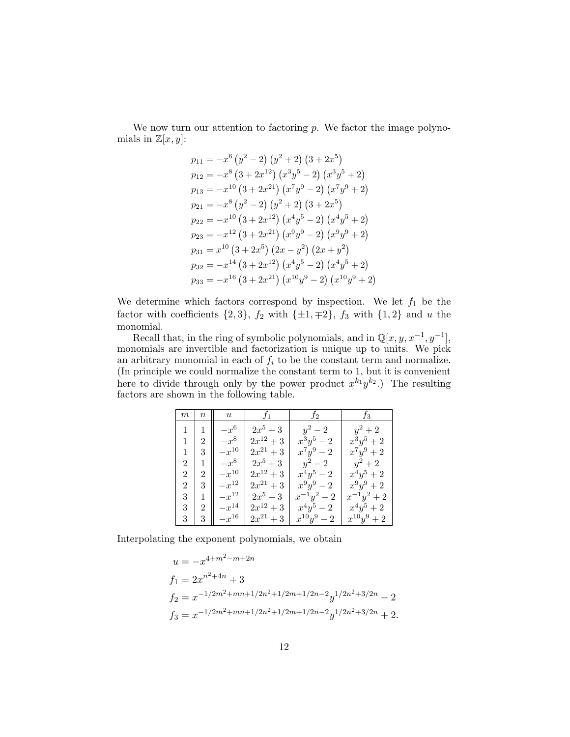We now turn our attention to factoring  $p$ . We factor the image polynomials in  $\mathbb{Z}[x,y]$ :

$$
p_{11} = -x^6 (y^2 - 2) (y^2 + 2) (3 + 2x^5)
$$
  
\n
$$
p_{12} = -x^8 (3 + 2x^{12}) (x^3y^5 - 2) (x^3y^5 + 2)
$$
  
\n
$$
p_{13} = -x^{10} (3 + 2x^{21}) (x^7y^9 - 2) (x^7y^9 + 2)
$$
  
\n
$$
p_{21} = -x^8 (y^2 - 2) (y^2 + 2) (3 + 2x^5)
$$
  
\n
$$
p_{22} = -x^{10} (3 + 2x^{12}) (x^4y^5 - 2) (x^4y^5 + 2)
$$
  
\n
$$
p_{23} = -x^{12} (3 + 2x^{21}) (x^9y^9 - 2) (x^9y^9 + 2)
$$
  
\n
$$
p_{31} = x^{10} (3 + 2x^5) (2x - y^2) (2x + y^2)
$$
  
\n
$$
p_{32} = -x^{14} (3 + 2x^{12}) (x^4y^5 - 2) (x^4y^5 + 2)
$$
  
\n
$$
p_{33} = -x^{16} (3 + 2x^{21}) (x^{10}y^9 - 2) (x^{10}y^9 + 2)
$$

We determine which factors correspond by inspection. We let  $f_1$  be the factor with coefficients  $\{2, 3\}$ ,  $f_2$  with  $\{\pm 1, \mp 2\}$ ,  $f_3$  with  $\{1, 2\}$  and u the monomial.

Recall that, in the ring of symbolic polynomials, and in  $\mathbb{Q}[x, y, x^{-1}, y^{-1}]$ , monomials are invertible and factorization is unique up to units. We pick an arbitrary monomial in each of  $f_i$  to be the constant term and normalize. (In principle we could normalize the constant term to 1, but it is convenient here to divide through only by the power product  $x^{k_1}y^{k_2}$ . The resulting factors are shown in the following table.

| $_{m}$         | $\, n$         | $\boldsymbol{u}$ | $f_1$         | $f_2$         | $f_3$           |
|----------------|----------------|------------------|---------------|---------------|-----------------|
| 1              |                | $-x^6$           | $2x^5+3$      | $y^2-2$       | $y^2+2$         |
| 1              | $\overline{2}$ | $-x^8$           | $2x^{12} + 3$ | $x^3y^5 - 2$  | $x^3y^5+2$      |
| 1              | 3              | $\!-x^{10}$      | $2x^{21}+3$   | $x^7y^9-2$    | $x^7y^9+2$      |
| $\overline{2}$ |                | $-x^8$           | $2x^5+3$      | $y^2-2$       | $y^2+2$         |
| $\overline{2}$ | 2              | $\!-x^{10}$      | $2x^{12}+3$   | $x^4y^5-2$    | $x^4y^5+2$      |
| $\overline{2}$ | 3              | $\!-x^{12}$      | $2x^{21}+3$   | $x^9y^9-2$    | $x^9y^9+2$      |
| 3              |                | $\!-x^{12}$      | $2x^5+3$      | $x^{-1}y^2-2$ | $x^{-1}y^2+2$   |
| 3              | $\overline{2}$ | $\!-x^{14}$      | $2x^{12}+3$   | $x^4y^5 - 2$  | $x^4y^5+2$      |
| 3              | 3              | $\!x^{16}$       | $2x^{21} + 3$ | $x^{10}y^9-2$ | $x^{10}y^9 + 2$ |

Interpolating the exponent polynomials, we obtain

$$
u = -x^{4+m^2-m+2n}
$$
  
\n
$$
f_1 = 2x^{n^2+4n} + 3
$$
  
\n
$$
f_2 = x^{-1/2m^2+mn+1/2n^2+1/2m+1/2n-2}y^{1/2n^2+3/2n} - 2
$$
  
\n
$$
f_3 = x^{-1/2m^2+mn+1/2n^2+1/2m+1/2n-2}y^{1/2n^2+3/2n} + 2.
$$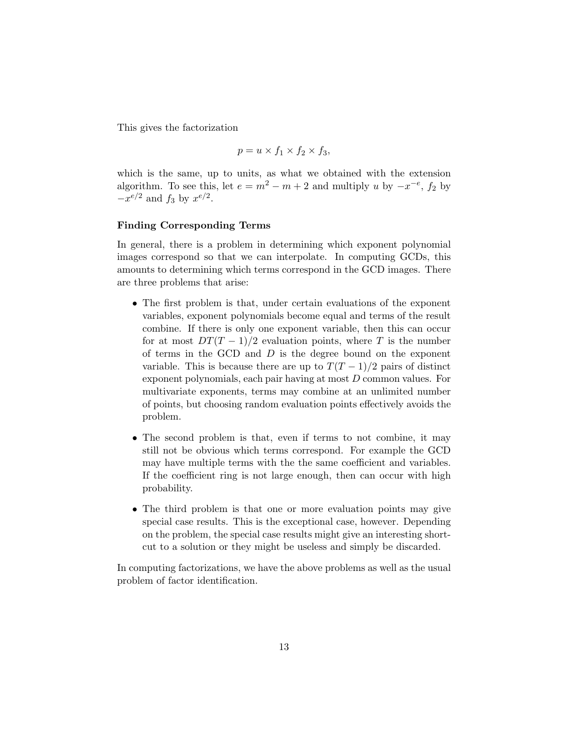This gives the factorization

$$
p = u \times f_1 \times f_2 \times f_3,
$$

which is the same, up to units, as what we obtained with the extension algorithm. To see this, let  $e = m^2 - m + 2$  and multiply u by  $-x^{-e}$ ,  $f_2$  by  $-x^{e/2}$  and  $f_3$  by  $x^{e/2}$ .

#### Finding Corresponding Terms

In general, there is a problem in determining which exponent polynomial images correspond so that we can interpolate. In computing GCDs, this amounts to determining which terms correspond in the GCD images. There are three problems that arise:

- The first problem is that, under certain evaluations of the exponent variables, exponent polynomials become equal and terms of the result combine. If there is only one exponent variable, then this can occur for at most  $DT(T-1)/2$  evaluation points, where T is the number of terms in the GCD and  $D$  is the degree bound on the exponent variable. This is because there are up to  $T(T-1)/2$  pairs of distinct exponent polynomials, each pair having at most D common values. For multivariate exponents, terms may combine at an unlimited number of points, but choosing random evaluation points effectively avoids the problem.
- The second problem is that, even if terms to not combine, it may still not be obvious which terms correspond. For example the GCD may have multiple terms with the the same coefficient and variables. If the coefficient ring is not large enough, then can occur with high probability.
- The third problem is that one or more evaluation points may give special case results. This is the exceptional case, however. Depending on the problem, the special case results might give an interesting shortcut to a solution or they might be useless and simply be discarded.

In computing factorizations, we have the above problems as well as the usual problem of factor identification.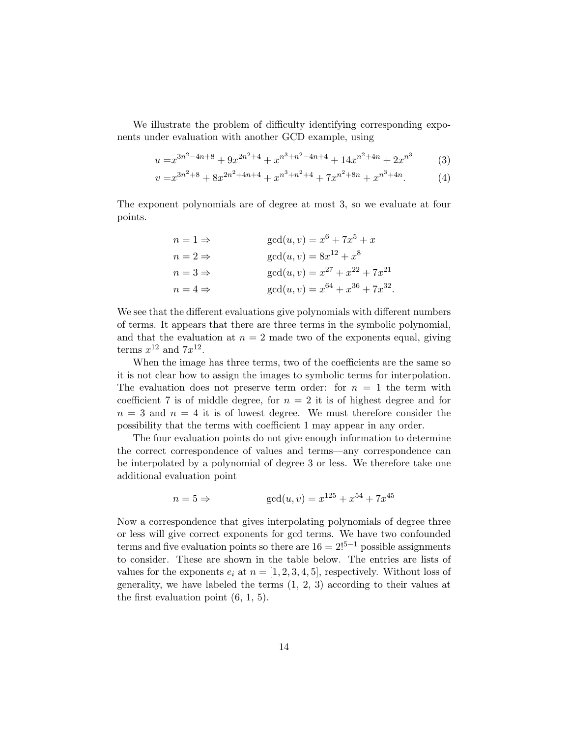We illustrate the problem of difficulty identifying corresponding exponents under evaluation with another GCD example, using

$$
u = x^{3n^2 - 4n + 8} + 9x^{2n^2 + 4} + x^{n^3 + n^2 - 4n + 4} + 14x^{n^2 + 4n} + 2x^{n^3} \tag{3}
$$

$$
v = x^{3n^2 + 8} + 8x^{2n^2 + 4n + 4} + x^{n^3 + n^2 + 4} + 7x^{n^2 + 8n} + x^{n^3 + 4n}.\tag{4}
$$

The exponent polynomials are of degree at most 3, so we evaluate at four points.

$$
n = 1 \Rightarrow \quad \gcd(u, v) = x^6 + 7x^5 + x
$$
  
\n
$$
n = 2 \Rightarrow \quad \gcd(u, v) = 8x^{12} + x^8
$$
  
\n
$$
n = 3 \Rightarrow \quad \gcd(u, v) = x^{27} + x^{22} + 7x^{21}
$$
  
\n
$$
n = 4 \Rightarrow \quad \gcd(u, v) = x^{64} + x^{36} + 7x^{32}
$$

We see that the different evaluations give polynomials with different numbers of terms. It appears that there are three terms in the symbolic polynomial, and that the evaluation at  $n = 2$  made two of the exponents equal, giving terms  $x^{12}$  and  $7x^{12}$ .

When the image has three terms, two of the coefficients are the same so it is not clear how to assign the images to symbolic terms for interpolation. The evaluation does not preserve term order: for  $n = 1$  the term with coefficient 7 is of middle degree, for  $n = 2$  it is of highest degree and for  $n = 3$  and  $n = 4$  it is of lowest degree. We must therefore consider the possibility that the terms with coefficient 1 may appear in any order.

The four evaluation points do not give enough information to determine the correct correspondence of values and terms—any correspondence can be interpolated by a polynomial of degree 3 or less. We therefore take one additional evaluation point

$$
n = 5 \Rightarrow \qquad \gcd(u, v) = x^{125} + x^{54} + 7x^{45}
$$

Now a correspondence that gives interpolating polynomials of degree three or less will give correct exponents for gcd terms. We have two confounded terms and five evaluation points so there are  $16 = 2!^{5-1}$  possible assignments to consider. These are shown in the table below. The entries are lists of values for the exponents  $e_i$  at  $n = [1, 2, 3, 4, 5]$ , respectively. Without loss of generality, we have labeled the terms (1, 2, 3) according to their values at the first evaluation point  $(6, 1, 5)$ .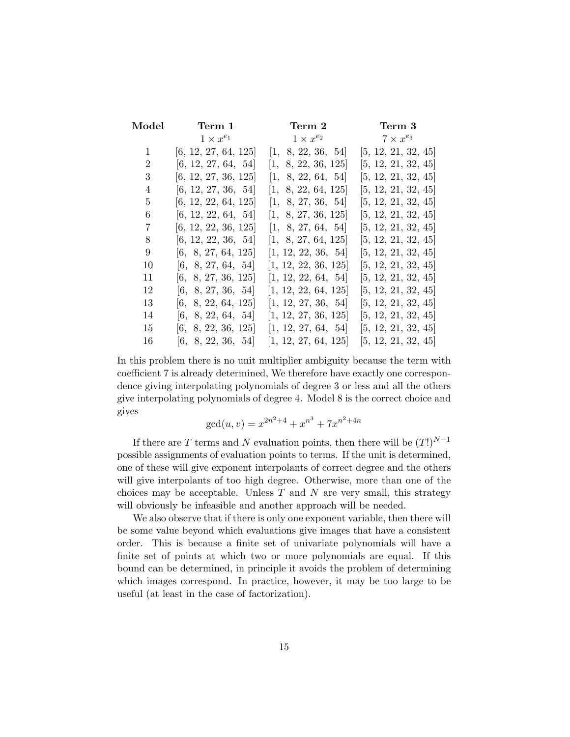| Model | Term 1               | Term 2               | Term 3              |
|-------|----------------------|----------------------|---------------------|
|       | $1 \times x^{e_1}$   | $1 \times x^{e_2}$   | $7 \times x^{e_3}$  |
| 1     | [6, 12, 27, 64, 125] | [1, 8, 22, 36, 54]   | [5, 12, 21, 32, 45] |
| 2     | [6, 12, 27, 64, 54]  | [1, 8, 22, 36, 125]  | [5, 12, 21, 32, 45] |
| 3     | [6, 12, 27, 36, 125] | [1, 8, 22, 64, 54]   | [5, 12, 21, 32, 45] |
| 4     | [6, 12, 27, 36, 54]  | [1, 8, 22, 64, 125]  | [5, 12, 21, 32, 45] |
| 5     | [6, 12, 22, 64, 125] | [1, 8, 27, 36, 54]   | [5, 12, 21, 32, 45] |
| 6     | [6, 12, 22, 64, 54]  | [1, 8, 27, 36, 125]  | [5, 12, 21, 32, 45] |
| 7     | [6, 12, 22, 36, 125] | [1, 8, 27, 64, 54]   | [5, 12, 21, 32, 45] |
| 8     | [6, 12, 22, 36, 54]  | [1, 8, 27, 64, 125]  | [5, 12, 21, 32, 45] |
| 9     | [6, 8, 27, 64, 125]  | [1, 12, 22, 36, 54]  | [5, 12, 21, 32, 45] |
| 10    | [6, 8, 27, 64, 54]   | [1, 12, 22, 36, 125] | [5, 12, 21, 32, 45] |
| 11    | [6, 8, 27, 36, 125]  | [1, 12, 22, 64, 54]  | [5, 12, 21, 32, 45] |
| 12    | [6, 8, 27, 36, 54]   | [1, 12, 22, 64, 125] | [5, 12, 21, 32, 45] |
| 13    | [6, 8, 22, 64, 125]  | [1, 12, 27, 36, 54]  | [5, 12, 21, 32, 45] |
| 14    | [6, 8, 22, 64, 54]   | [1, 12, 27, 36, 125] | [5, 12, 21, 32, 45] |
| 15    | [6, 8, 22, 36, 125]  | [1, 12, 27, 64, 54]  | [5, 12, 21, 32, 45] |
| 16    | [6, 8, 22, 36, 54]   | [1, 12, 27, 64, 125] | [5, 12, 21, 32, 45] |

In this problem there is no unit multiplier ambiguity because the term with coefficient 7 is already determined, We therefore have exactly one correspondence giving interpolating polynomials of degree 3 or less and all the others give interpolating polynomials of degree 4. Model 8 is the correct choice and gives

$$
\gcd(u, v) = x^{2n^2 + 4} + x^{n^3} + 7x^{n^2 + 4n}
$$

If there are  $T$  terms and  $N$  evaluation points, then there will be  $(T!)^{N-1}$ possible assignments of evaluation points to terms. If the unit is determined, one of these will give exponent interpolants of correct degree and the others will give interpolants of too high degree. Otherwise, more than one of the choices may be acceptable. Unless  $T$  and  $N$  are very small, this strategy will obviously be infeasible and another approach will be needed.

We also observe that if there is only one exponent variable, then there will be some value beyond which evaluations give images that have a consistent order. This is because a finite set of univariate polynomials will have a finite set of points at which two or more polynomials are equal. If this bound can be determined, in principle it avoids the problem of determining which images correspond. In practice, however, it may be too large to be useful (at least in the case of factorization).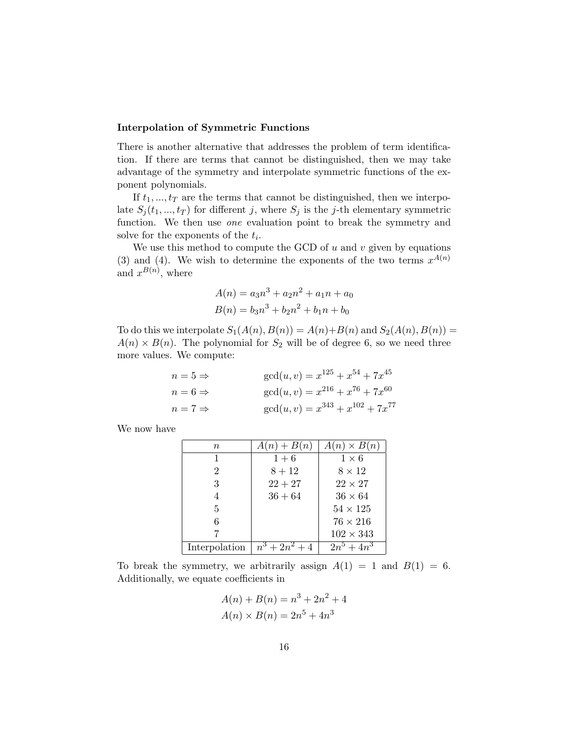#### Interpolation of Symmetric Functions

There is another alternative that addresses the problem of term identification. If there are terms that cannot be distinguished, then we may take advantage of the symmetry and interpolate symmetric functions of the exponent polynomials.

If  $t_1, ..., t_T$  are the terms that cannot be distinguished, then we interpolate  $S_j(t_1, ..., t_T)$  for different j, where  $S_j$  is the j-th elementary symmetric function. We then use *one* evaluation point to break the symmetry and solve for the exponents of the  $t_i$ .

We use this method to compute the GCD of  $u$  and  $v$  given by equations (3) and (4). We wish to determine the exponents of the two terms  $x^{A(n)}$ and  $x^{B(n)}$ , where

$$
A(n) = a_3 n^3 + a_2 n^2 + a_1 n + a_0
$$
  

$$
B(n) = b_3 n^3 + b_2 n^2 + b_1 n + b_0
$$

To do this we interpolate  $S_1(A(n), B(n)) = A(n) + B(n)$  and  $S_2(A(n), B(n)) =$  $A(n) \times B(n)$ . The polynomial for  $S_2$  will be of degree 6, so we need three more values. We compute:

$$
n = 5 \Rightarrow \text{gcd}(u, v) = x^{125} + x^{54} + 7x^{45}
$$
  
\n
$$
n = 6 \Rightarrow \text{gcd}(u, v) = x^{216} + x^{76} + 7x^{60}
$$
  
\n
$$
n = 7 \Rightarrow \text{gcd}(u, v) = x^{343} + x^{102} + 7x^{77}
$$

We now have

| $\, n$        | $A(n)+B(n)$      | $A(n) \times B(n)$ |
|---------------|------------------|--------------------|
| 1             | $1 + 6$          | $1\times 6$        |
| 2             | $8 + 12$         | $8 \times 12$      |
| 3             | $22 + 27$        | $22 \times 27$     |
| 4             | $36 + 64$        | $36 \times 64$     |
| 5             |                  | $54 \times 125$    |
| 6             |                  | $76 \times 216$    |
|               |                  | $102 \times 343$   |
| Interpolation | $n^3 + 2n^2 + 4$ | $2n^5 + 4n^3$      |

To break the symmetry, we arbitrarily assign  $A(1) = 1$  and  $B(1) = 6$ . Additionally, we equate coefficients in

$$
A(n) + B(n) = n3 + 2n2 + 4
$$
  

$$
A(n) \times B(n) = 2n5 + 4n3
$$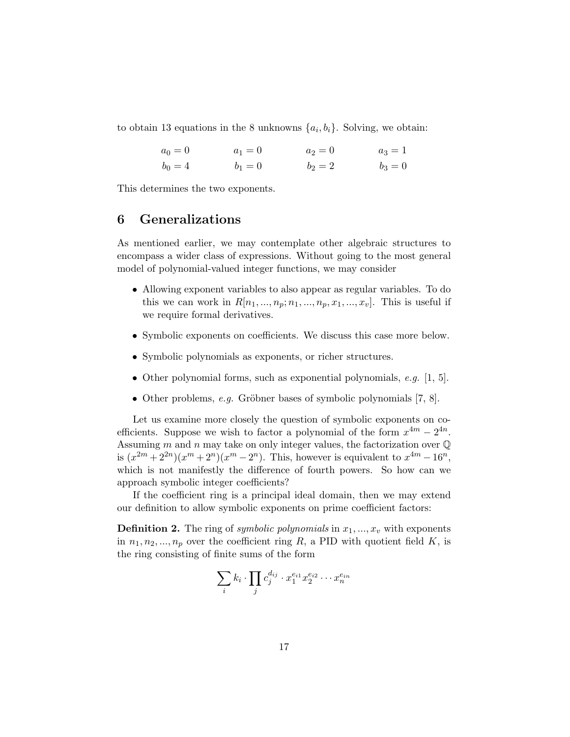to obtain 13 equations in the 8 unknowns  $\{a_i, b_i\}$ . Solving, we obtain:

| $a_0 = 0$ | $a_1 = 0$ | $a_2 = 0$ | $a_3 = 1$ |
|-----------|-----------|-----------|-----------|
| $b_0 = 4$ | $b_1 = 0$ | $b_2 = 2$ | $b_3 = 0$ |

This determines the two exponents.

# 6 Generalizations

As mentioned earlier, we may contemplate other algebraic structures to encompass a wider class of expressions. Without going to the most general model of polynomial-valued integer functions, we may consider

- Allowing exponent variables to also appear as regular variables. To do this we can work in  $R[n_1, ..., n_p; n_1, ..., n_p, x_1, ..., x_v]$ . This is useful if we require formal derivatives.
- Symbolic exponents on coefficients. We discuss this case more below.
- Symbolic polynomials as exponents, or richer structures.
- Other polynomial forms, such as exponential polynomials, e.g. [1, 5].
- Other problems, *e.g.* Gröbner bases of symbolic polynomials  $[7, 8]$ .

Let us examine more closely the question of symbolic exponents on coefficients. Suppose we wish to factor a polynomial of the form  $x^{4m} - 2^{4n}$ . Assuming m and n may take on only integer values, the factorization over  $\mathbb Q$ is  $(x^{2m} + 2^{2n})(x^m + 2^n)(x^m - 2^n)$ . This, however is equivalent to  $x^{4m} - 16^n$ , which is not manifestly the difference of fourth powers. So how can we approach symbolic integer coefficients?

If the coefficient ring is a principal ideal domain, then we may extend our definition to allow symbolic exponents on prime coefficient factors:

**Definition 2.** The ring of symbolic polynomials in  $x_1, \ldots, x_v$  with exponents in  $n_1, n_2, ..., n_p$  over the coefficient ring R, a PID with quotient field K, is the ring consisting of finite sums of the form

$$
\sum_i k_i \cdot \prod_j c_j^{d_{ij}} \cdot x_1^{e_{i1}} x_2^{e_{i2}} \cdots x_n^{e_{in}}
$$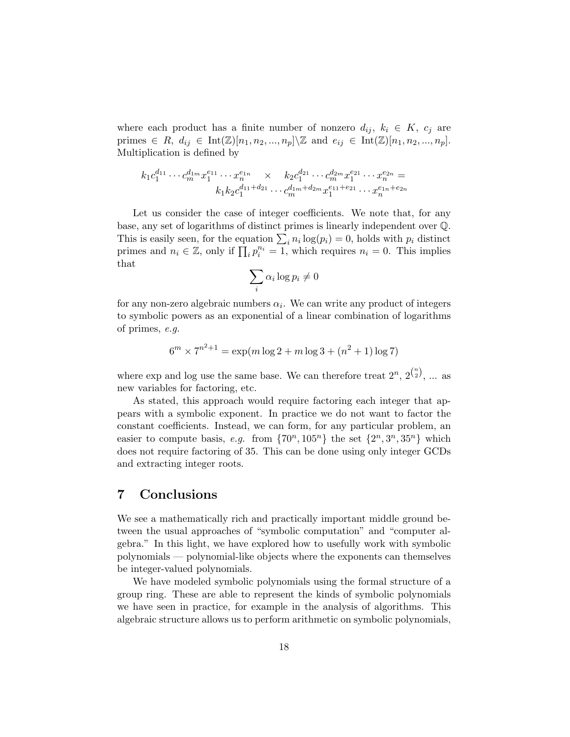where each product has a finite number of nonzero  $d_{ij}, k_i \in K$ ,  $c_j$  are primes ∈ R,  $d_{ij}$  ∈ Int(Z)[ $n_1, n_2, ..., n_p$ ]\Z and  $e_{ij}$  ∈ Int(Z)[ $n_1, n_2, ..., n_p$ ]. Multiplication is defined by

$$
k_1 c_1^{d_{11}} \cdots c_m^{d_{1m}} x_1^{e_{11}} \cdots x_n^{e_{1n}} \times k_2 c_1^{d_{21}} \cdots c_m^{d_{2m}} x_1^{e_{21}} \cdots x_n^{e_{2n}} =
$$
  

$$
k_1 k_2 c_1^{d_{11} + d_{21}} \cdots c_m^{d_{1m} + d_{2m}} x_1^{e_{11} + e_{21}} \cdots x_n^{e_{1n} + e_{2n}}
$$

Let us consider the case of integer coefficients. We note that, for any base, any set of logarithms of distinct primes is linearly independent over Q. This is easily seen, for the equation  $\sum_i n_i \log(p_i) = 0$ , holds with  $p_i$  distinct primes and  $n_i \in \mathbb{Z}$ , only if  $\prod_i p_i^{n_i} = 1$ , which requires  $n_i = 0$ . This implies that

$$
\sum_i \alpha_i \log p_i \neq 0
$$

for any non-zero algebraic numbers  $\alpha_i$ . We can write any product of integers to symbolic powers as an exponential of a linear combination of logarithms of primes, e.g.

$$
6^m \times 7^{n^2+1} = \exp(m \log 2 + m \log 3 + (n^2 + 1) \log 7)
$$

where exp and log use the same base. We can therefore treat  $2^n$ ,  $2^{n \choose 2}$ , ... as new variables for factoring, etc.

As stated, this approach would require factoring each integer that appears with a symbolic exponent. In practice we do not want to factor the constant coefficients. Instead, we can form, for any particular problem, an easier to compute basis, e.g. from  $\{70^n, 105^n\}$  the set  $\{2^n, 3^n, 35^n\}$  which does not require factoring of 35. This can be done using only integer GCDs and extracting integer roots.

### 7 Conclusions

We see a mathematically rich and practically important middle ground between the usual approaches of "symbolic computation" and "computer algebra." In this light, we have explored how to usefully work with symbolic polynomials — polynomial-like objects where the exponents can themselves be integer-valued polynomials.

We have modeled symbolic polynomials using the formal structure of a group ring. These are able to represent the kinds of symbolic polynomials we have seen in practice, for example in the analysis of algorithms. This algebraic structure allows us to perform arithmetic on symbolic polynomials,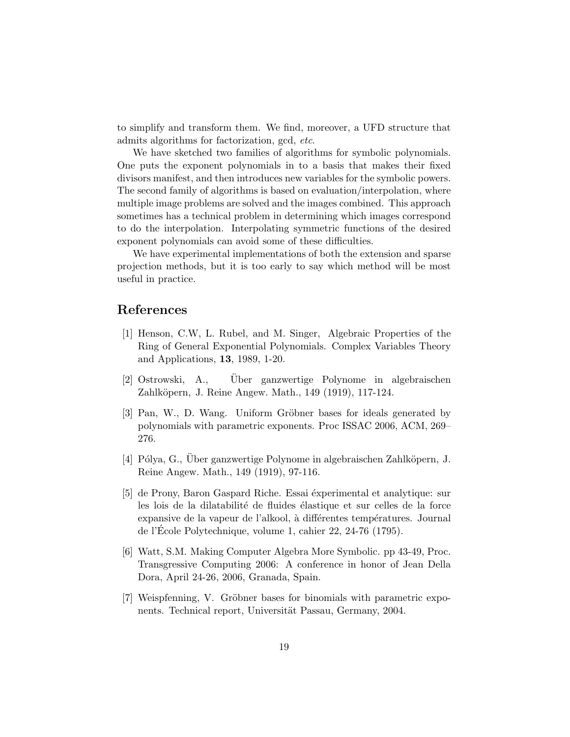to simplify and transform them. We find, moreover, a UFD structure that admits algorithms for factorization, gcd, etc.

We have sketched two families of algorithms for symbolic polynomials. One puts the exponent polynomials in to a basis that makes their fixed divisors manifest, and then introduces new variables for the symbolic powers. The second family of algorithms is based on evaluation/interpolation, where multiple image problems are solved and the images combined. This approach sometimes has a technical problem in determining which images correspond to do the interpolation. Interpolating symmetric functions of the desired exponent polynomials can avoid some of these difficulties.

We have experimental implementations of both the extension and sparse projection methods, but it is too early to say which method will be most useful in practice.

### References

- [1] Henson, C.W, L. Rubel, and M. Singer, Algebraic Properties of the Ring of General Exponential Polynomials. Complex Variables Theory and Applications, 13, 1989, 1-20.
- [2] Ostrowski, A., Uber ganzwertige Polynome in algebraischen Zahlköpern, J. Reine Angew. Math., 149 (1919), 117-124.
- [3] Pan, W., D. Wang. Uniform Gröbner bases for ideals generated by polynomials with parametric exponents. Proc ISSAC 2006, ACM, 269– 276.
- [4] Pólya, G., Über ganzwertige Polynome in algebraischen Zahlköpern, J. Reine Angew. Math., 149 (1919), 97-116.
- [5] de Prony, Baron Gaspard Riche. Essai éxperimental et analytique: sur les lois de la dilatabilité de fluides élastique et sur celles de la force expansive de la vapeur de l'alkool, à différentes températures. Journal de l'Ecole Polytechnique, volume 1, cahier 22, 24-76 (1795). ´
- [6] Watt, S.M. Making Computer Algebra More Symbolic. pp 43-49, Proc. Transgressive Computing 2006: A conference in honor of Jean Della Dora, April 24-26, 2006, Granada, Spain.
- [7] Weispfenning, V. Gröbner bases for binomials with parametric exponents. Technical report, Universität Passau, Germany, 2004.